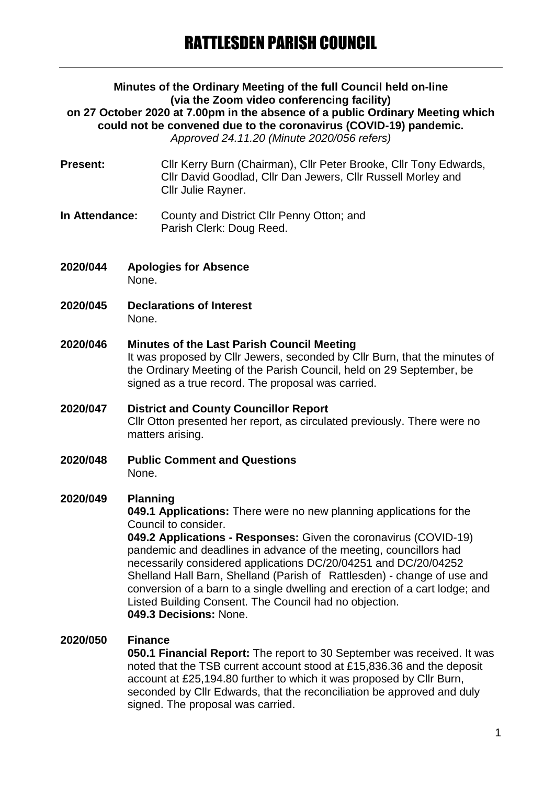## **Minutes of the Ordinary Meeting of the full Council held on-line (via the Zoom video conferencing facility) on 27 October 2020 at 7.00pm in the absence of a public Ordinary Meeting which could not be convened due to the coronavirus (COVID-19) pandemic.** *Approved 24.11.20 (Minute 2020/056 refers)*

- **Present:** Cllr Kerry Burn (Chairman), Cllr Peter Brooke, Cllr Tony Edwards, Cllr David Goodlad, Cllr Dan Jewers, Cllr Russell Morley and Cllr Julie Rayner.
- **In Attendance:** County and District Cllr Penny Otton; and Parish Clerk: Doug Reed.
- **2020/044 Apologies for Absence** None.
- **2020/045 Declarations of Interest** None.
- **2020/046 Minutes of the Last Parish Council Meeting** It was proposed by Cllr Jewers, seconded by Cllr Burn, that the minutes of the Ordinary Meeting of the Parish Council, held on 29 September, be signed as a true record. The proposal was carried.
- **2020/047 District and County Councillor Report** Cllr Otton presented her report, as circulated previously. There were no matters arising.
- **2020/048 Public Comment and Questions** None.

# **2020/049 Planning**

**049.1 Applications:** There were no new planning applications for the Council to consider.

**049.2 Applications - Responses:** Given the coronavirus (COVID-19) pandemic and deadlines in advance of the meeting, councillors had necessarily considered applications DC/20/04251 and DC/20/04252 Shelland Hall Barn, Shelland (Parish of Rattlesden) - change of use and conversion of a barn to a single dwelling and erection of a cart lodge; and Listed Building Consent. The Council had no objection. **049.3 Decisions:** None.

# **2020/050 Finance**

**050.1 Financial Report:** The report to 30 September was received. It was noted that the TSB current account stood at £15,836.36 and the deposit account at £25,194.80 further to which it was proposed by Cllr Burn, seconded by Cllr Edwards, that the reconciliation be approved and duly signed. The proposal was carried.